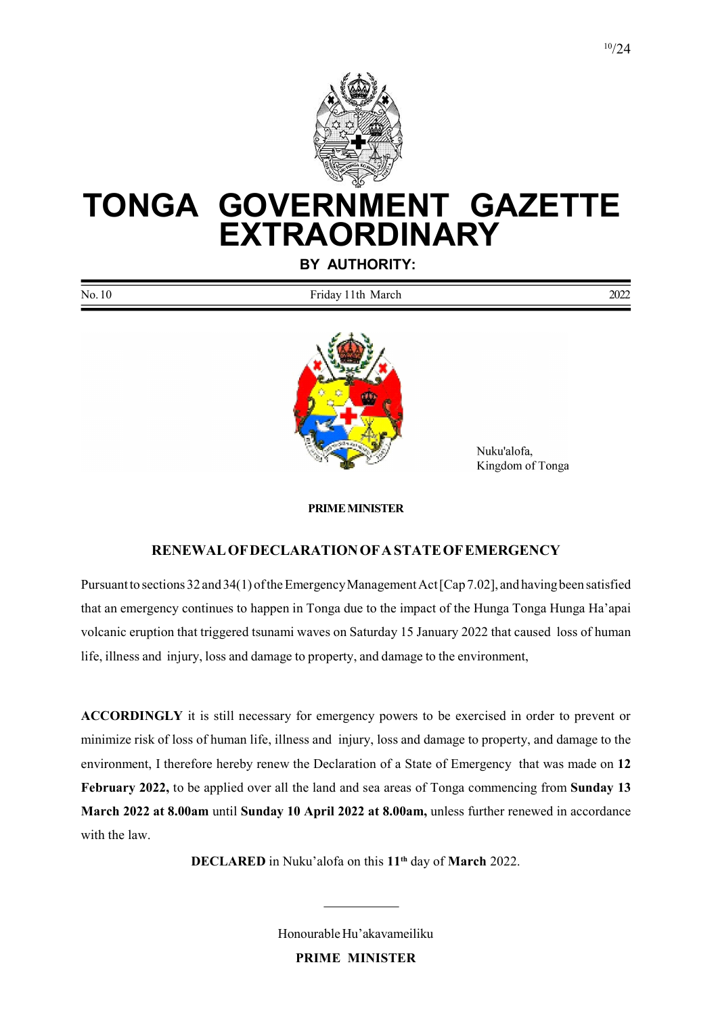

# TONGA GOVERNMENT GAZETTE **EXTRAORDINARY**

BY AUTHORITY:

| No.<br>10<br>l th<br>ridav:<br>March | 2022 |
|--------------------------------------|------|
|--------------------------------------|------|



 Nuku'alofa, Kingdom of Tonga

#### PRIME MINISTER

#### RENEWAL OF DECLARATION OF A STATE OF EMERGENCY

Pursuant to sections 32 and 34(1) of the Emergency Management Act [Cap 7.02], and having been satisfied that an emergency continues to happen in Tonga due to the impact of the Hunga Tonga Hunga Ha'apai volcanic eruption that triggered tsunami waves on Saturday 15 January 2022 that caused loss of human life, illness and injury, loss and damage to property, and damage to the environment,

ACCORDINGLY it is still necessary for emergency powers to be exercised in order to prevent or minimize risk of loss of human life, illness and injury, loss and damage to property, and damage to the environment, I therefore hereby renew the Declaration of a State of Emergency that was made on 12 February 2022, to be applied over all the land and sea areas of Tonga commencing from Sunday 13 March 2022 at 8.00am until Sunday 10 April 2022 at 8.00am, unless further renewed in accordance with the law.

DECLARED in Nuku'alofa on this 11<sup>th</sup> day of March 2022.

Honourable Hu'akavameiliku PRIME MINISTER